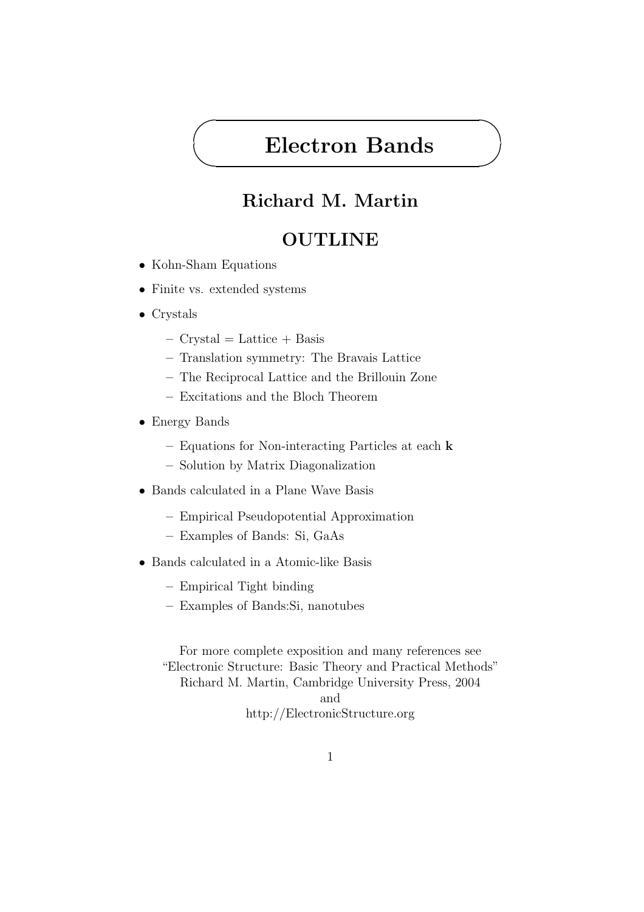# Electron Bands

### Richard M. Martin

#### **OUTLINE**

• Kohn-Sham Equations

✬

 $\searrow$ 

- Finite vs. extended systems
- Crystals
	- $-$  Crystal = Lattice  $+$  Basis
	- Translation symmetry: The Bravais Lattice
	- The Reciprocal Lattice and the Brillouin Zone
	- Excitations and the Bloch Theorem
- Energy Bands
	- Equations for Non-interacting Particles at each k
	- Solution by Matrix Diagonalization
- Bands calculated in a Plane Wave Basis
	- Empirical Pseudopotential Approximation
	- Examples of Bands: Si, GaAs
- Bands calculated in a Atomic-like Basis
	- Empirical Tight binding
	- Examples of Bands:Si, nanotubes

For more complete exposition and many references see "Electronic Structure: Basic Theory and Practical Methods" Richard M. Martin, Cambridge University Press, 2004 and http://ElectronicStructure.org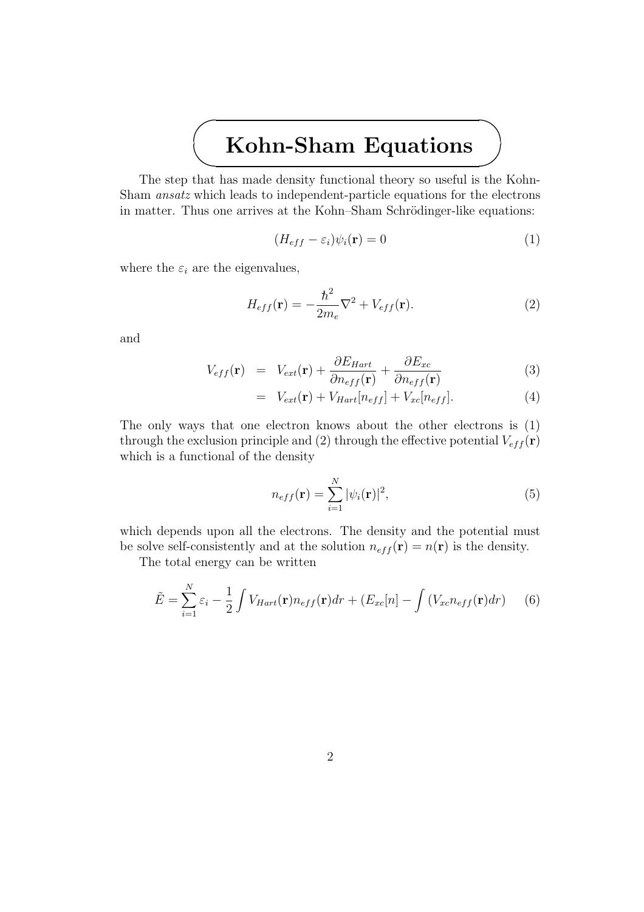#### $\searrow$ Kohn-Sham Equations

The step that has made density functional theory so useful is the Kohn-Sham ansatz which leads to independent-particle equations for the electrons in matter. Thus one arrives at the Kohn–Sham Schrödinger-like equations:

$$
(H_{eff} - \varepsilon_i)\psi_i(\mathbf{r}) = 0\tag{1}
$$

where the  $\varepsilon_i$  are the eigenvalues,

✬

$$
H_{eff}(\mathbf{r}) = -\frac{\hbar^2}{2m_e}\nabla^2 + V_{eff}(\mathbf{r}).
$$
\n(2)

and

$$
V_{eff}(\mathbf{r}) = V_{ext}(\mathbf{r}) + \frac{\partial E_{Hart}}{\partial n_{eff}(\mathbf{r})} + \frac{\partial E_{xc}}{\partial n_{eff}(\mathbf{r})}
$$
(3)

$$
= V_{ext}(\mathbf{r}) + V_{Hart}[n_{eff}] + V_{xc}[n_{eff}]. \tag{4}
$$

The only ways that one electron knows about the other electrons is (1) through the exclusion principle and (2) through the effective potential  $V_{eff}(\mathbf{r})$ which is a functional of the density

$$
n_{eff}(\mathbf{r}) = \sum_{i=1}^{N} |\psi_i(\mathbf{r})|^2,
$$
\n(5)

which depends upon all the electrons. The density and the potential must be solve self-consistently and at the solution  $n_{eff}(\mathbf{r}) = n(\mathbf{r})$  is the density.

The total energy can be written

$$
\tilde{E} = \sum_{i=1}^{N} \varepsilon_i - \frac{1}{2} \int V_{Hart}(\mathbf{r}) n_{eff}(\mathbf{r}) dr + (E_{xc}[n] - \int (V_{xc} n_{eff}(\mathbf{r}) dr) \tag{6}
$$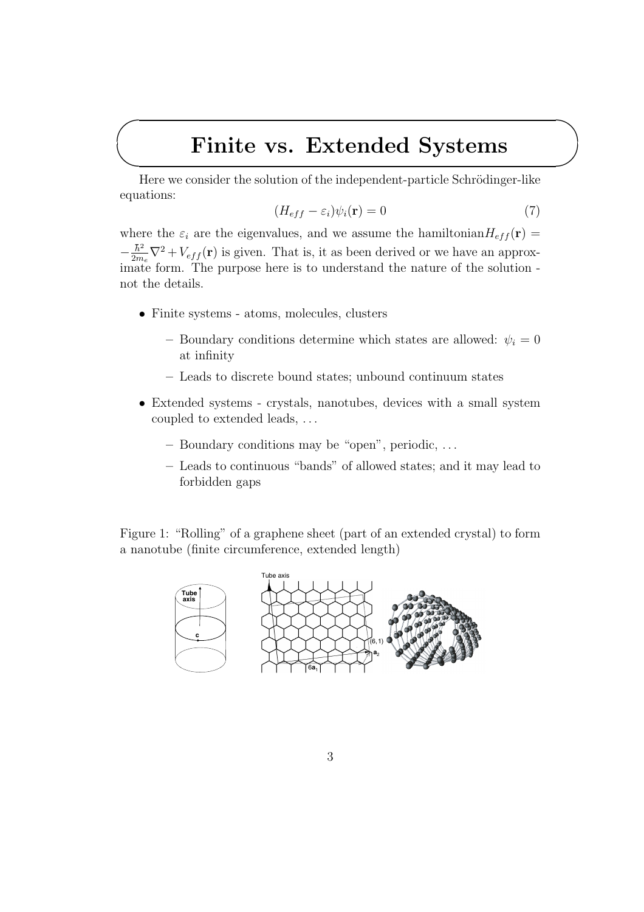## Finite vs. Extended Systems

Here we consider the solution of the independent-particle Schrödinger-like equations:

$$
(H_{eff} - \varepsilon_i)\psi_i(\mathbf{r}) = 0\tag{7}
$$

where the  $\varepsilon_i$  are the eigenvalues, and we assume the hamiltonian  $H_{eff}(\mathbf{r}) =$  $-\frac{\hbar^2}{2m}$  $\frac{\hbar^2}{2m_e}\nabla^2 + V_{eff}(\mathbf{r})$  is given. That is, it as been derived or we have an approximate form. The purpose here is to understand the nature of the solution not the details.

• Finite systems - atoms, molecules, clusters

✬

 $\searrow$ 

- Boundary conditions determine which states are allowed:  $\psi_i = 0$ at infinity
- Leads to discrete bound states; unbound continuum states
- Extended systems crystals, nanotubes, devices with a small system coupled to extended leads, . . .
	- Boundary conditions may be "open", periodic, . . .
	- Leads to continuous "bands" of allowed states; and it may lead to forbidden gaps

Figure 1: "Rolling" of a graphene sheet (part of an extended crystal) to form a nanotube (finite circumference, extended length)

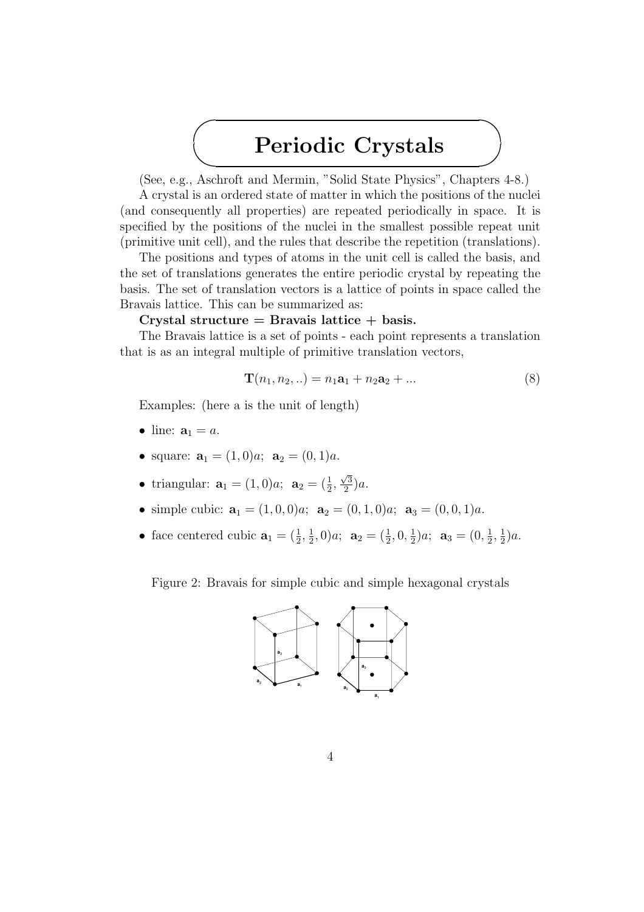# Periodic Crystals

(See, e.g., Aschroft and Mermin, "Solid State Physics", Chapters 4-8.)

A crystal is an ordered state of matter in which the positions of the nuclei (and consequently all properties) are repeated periodically in space. It is specified by the positions of the nuclei in the smallest possible repeat unit (primitive unit cell), and the rules that describe the repetition (translations).

The positions and types of atoms in the unit cell is called the basis, and the set of translations generates the entire periodic crystal by repeating the basis. The set of translation vectors is a lattice of points in space called the Bravais lattice. This can be summarized as:

#### Crystal structure  $=$  Bravais lattice  $+$  basis.

The Bravais lattice is a set of points - each point represents a translation that is as an integral multiple of primitive translation vectors,

$$
\mathbf{T}(n_1, n_2, ..) = n_1 \mathbf{a}_1 + n_2 \mathbf{a}_2 + ... \tag{8}
$$

Examples: (here a is the unit of length)

✬

 $\searrow$ 

- line:  $\mathbf{a}_1 = a$ .
- square:  $\mathbf{a}_1 = (1, 0)a$ ;  $\mathbf{a}_2 = (0, 1)a$ .
- triangular:  $\mathbf{a}_1 = (1,0)a; \ \mathbf{a}_2 = (\frac{1}{2},$  $\sqrt{3}$  $\frac{\sqrt{3}}{2}$ )a.
- simple cubic:  $\mathbf{a}_1 = (1, 0, 0)a; \ \mathbf{a}_2 = (0, 1, 0)a; \ \mathbf{a}_3 = (0, 0, 1)a.$
- face centered cubic  $\mathbf{a}_1 = (\frac{1}{2}, \frac{1}{2})$  $(\frac{1}{2},0)a; \mathbf{a}_2 = (\frac{1}{2},0,\frac{1}{2})$  $(\frac{1}{2})a; \ \mathbf{a}_3=(0,\frac{1}{2})$  $\frac{1}{2}, \frac{1}{2}$  $(\frac{1}{2})a.$

Figure 2: Bravais for simple cubic and simple hexagonal crystals

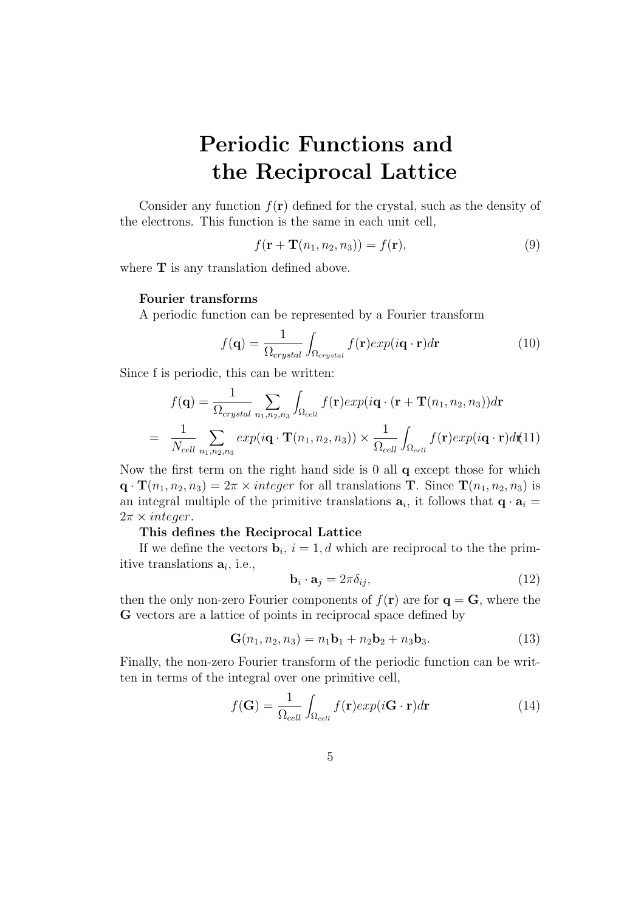# Periodic Functions and the Reciprocal Lattice

Consider any function  $f(\mathbf{r})$  defined for the crystal, such as the density of the electrons. This function is the same in each unit cell,

$$
f(\mathbf{r} + \mathbf{T}(n_1, n_2, n_3)) = f(\mathbf{r}),\tag{9}
$$

where **T** is any translation defined above.

#### Fourier transforms

A periodic function can be represented by a Fourier transform

$$
f(\mathbf{q}) = \frac{1}{\Omega_{crystal}} \int_{\Omega_{crystal}} f(\mathbf{r}) exp(i\mathbf{q} \cdot \mathbf{r}) d\mathbf{r}
$$
 (10)

Since f is periodic, this can be written:

$$
f(\mathbf{q}) = \frac{1}{\Omega_{crystal}} \sum_{n_1, n_2, n_3} \int_{\Omega_{cell}} f(\mathbf{r}) exp(i\mathbf{q} \cdot (\mathbf{r} + \mathbf{T}(n_1, n_2, n_3)) d\mathbf{r}
$$
  
= 
$$
\frac{1}{N_{cell}} \sum_{n_1, n_2, n_3} exp(i\mathbf{q} \cdot \mathbf{T}(n_1, n_2, n_3)) \times \frac{1}{\Omega_{cell}} \int_{\Omega_{cell}} f(\mathbf{r}) exp(i\mathbf{q} \cdot \mathbf{r}) d\mathbf{r}(11)
$$

Now the first term on the right hand side is 0 all q except those for which  $\mathbf{q} \cdot \mathbf{T}(n_1, n_2, n_3) = 2\pi \times integer$  for all translations **T**. Since  $\mathbf{T}(n_1, n_2, n_3)$  is an integral multiple of the primitive translations  $a_i$ , it follows that  $q \cdot a_i =$  $2\pi \times integer$ .

#### This defines the Reciprocal Lattice

If we define the vectors  $\mathbf{b}_i$ ,  $i = 1, d$  which are reciprocal to the the primitive translations  $a_i$ , i.e.,

$$
\mathbf{b}_i \cdot \mathbf{a}_j = 2\pi \delta_{ij},\tag{12}
$$

then the only non-zero Fourier components of  $f(\mathbf{r})$  are for  $\mathbf{q} = \mathbf{G}$ , where the G vectors are a lattice of points in reciprocal space defined by

$$
\mathbf{G}(n_1, n_2, n_3) = n_1 \mathbf{b}_1 + n_2 \mathbf{b}_2 + n_3 \mathbf{b}_3. \tag{13}
$$

Finally, the non-zero Fourier transform of the periodic function can be written in terms of the integral over one primitive cell,

$$
f(\mathbf{G}) = \frac{1}{\Omega_{cell}} \int_{\Omega_{cell}} f(\mathbf{r}) exp(i\mathbf{G} \cdot \mathbf{r}) d\mathbf{r}
$$
 (14)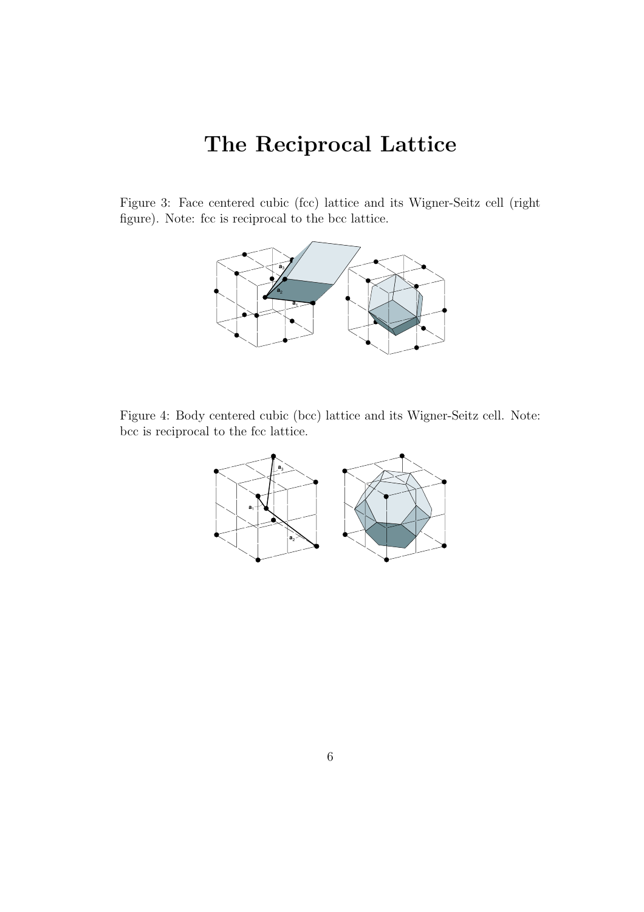# The Reciprocal Lattice

Figure 3: Face centered cubic (fcc) lattice and its Wigner-Seitz cell (right figure). Note: fcc is reciprocal to the bcc lattice.



Figure 4: Body centered cubic (bcc) lattice and its Wigner-Seitz cell. Note: bcc is reciprocal to the fcc lattice.

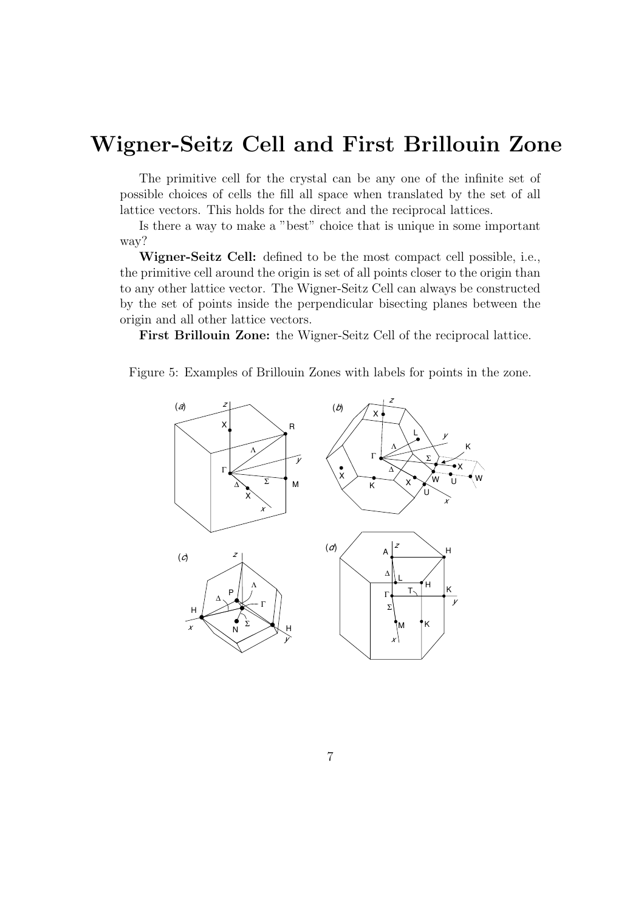## Wigner-Seitz Cell and First Brillouin Zone

The primitive cell for the crystal can be any one of the infinite set of possible choices of cells the fill all space when translated by the set of all lattice vectors. This holds for the direct and the reciprocal lattices.

Is there a way to make a "best" choice that is unique in some important way?

Wigner-Seitz Cell: defined to be the most compact cell possible, i.e., the primitive cell around the origin is set of all points closer to the origin than to any other lattice vector. The Wigner-Seitz Cell can always be constructed by the set of points inside the perpendicular bisecting planes between the origin and all other lattice vectors.

First Brillouin Zone: the Wigner-Seitz Cell of the reciprocal lattice.

Figure 5: Examples of Brillouin Zones with labels for points in the zone.

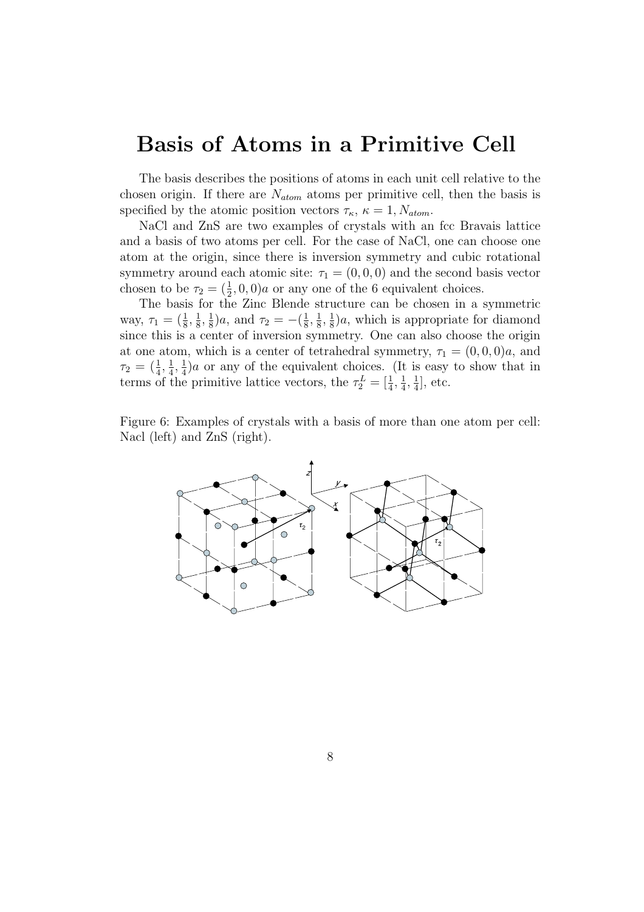### Basis of Atoms in a Primitive Cell

The basis describes the positions of atoms in each unit cell relative to the chosen origin. If there are  $N_{atom}$  atoms per primitive cell, then the basis is specified by the atomic position vectors  $\tau_{\kappa}$ ,  $\kappa = 1, N_{atom}$ .

NaCl and ZnS are two examples of crystals with an fcc Bravais lattice and a basis of two atoms per cell. For the case of NaCl, one can choose one atom at the origin, since there is inversion symmetry and cubic rotational symmetry around each atomic site:  $\tau_1 = (0, 0, 0)$  and the second basis vector chosen to be  $\tau_2 = (\frac{1}{2}, 0, 0)a$  or any one of the 6 equivalent choices.

The basis for the Zinc Blende structure can be chosen in a symmetric way,  $\tau_1 = (\frac{1}{8}, \frac{1}{8})$  $\frac{1}{8}, \frac{1}{8}$  $(\frac{1}{8})a$ , and  $\tau_2 = -(\frac{1}{8})$  $\frac{1}{8}, \frac{1}{8}$  $\frac{1}{8}$ ,  $\frac{1}{8}$  $\frac{1}{8}$ )a, which is appropriate for diamond since this is a center of inversion symmetry. One can also choose the origin at one atom, which is a center of tetrahedral symmetry,  $\tau_1 = (0, 0, 0)a$ , and  $\tau_2=(\frac{1}{4},\frac{1}{4}$  $\frac{1}{4}, \frac{1}{4}$  $\frac{1}{4}$ )a or any of the equivalent choices. (It is easy to show that in terms of the primitive lattice vectors, the  $\tau_2^L = \begin{bmatrix} \frac{1}{4}, \frac{1}{4} \end{bmatrix}$  $\frac{1}{4}, \frac{1}{4}$  $\frac{1}{4}$ , etc.

Figure 6: Examples of crystals with a basis of more than one atom per cell: Nacl (left) and ZnS (right).

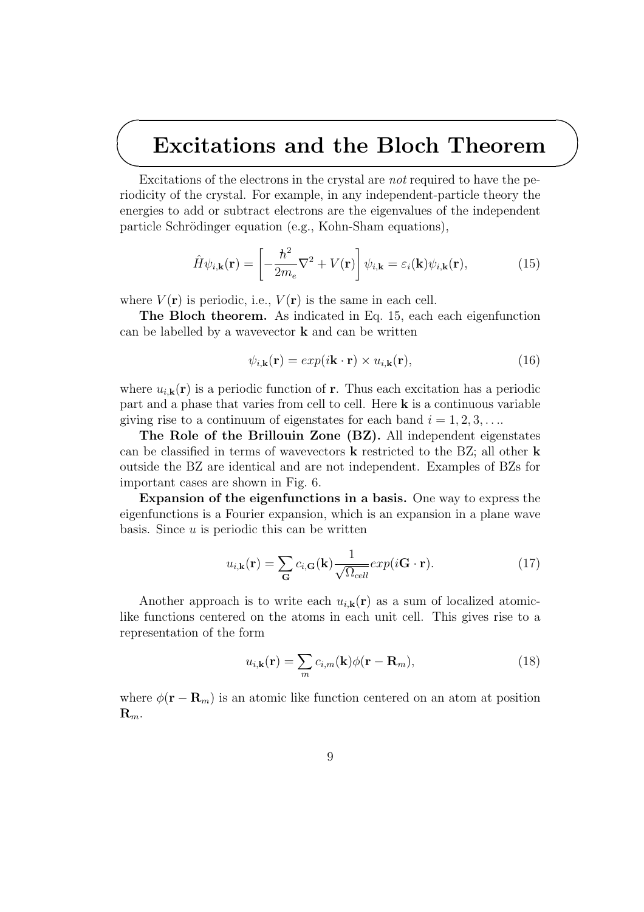# Excitations and the Bloch Theorem

Excitations of the electrons in the crystal are *not* required to have the periodicity of the crystal. For example, in any independent-particle theory the energies to add or subtract electrons are the eigenvalues of the independent particle Schrödinger equation (e.g., Kohn-Sham equations),

$$
\hat{H}\psi_{i,\mathbf{k}}(\mathbf{r}) = \left[-\frac{\hbar^2}{2m_e}\nabla^2 + V(\mathbf{r})\right]\psi_{i,\mathbf{k}} = \varepsilon_i(\mathbf{k})\psi_{i,\mathbf{k}}(\mathbf{r}),\tag{15}
$$

where  $V(\mathbf{r})$  is periodic, i.e.,  $V(\mathbf{r})$  is the same in each cell.

✬

 $\searrow$ 

The Bloch theorem. As indicated in Eq. 15, each each eigenfunction can be labelled by a wavevector  $k$  and can be written

$$
\psi_{i,\mathbf{k}}(\mathbf{r}) = exp(i\mathbf{k}\cdot\mathbf{r}) \times u_{i,\mathbf{k}}(\mathbf{r}),
$$
\n(16)

where  $u_{i,k}(\mathbf{r})$  is a periodic function of **r**. Thus each excitation has a periodic part and a phase that varies from cell to cell. Here k is a continuous variable giving rise to a continuum of eigenstates for each band  $i = 1, 2, 3, \ldots$ 

The Role of the Brillouin Zone (BZ). All independent eigenstates can be classified in terms of wavevectors k restricted to the BZ; all other k outside the BZ are identical and are not independent. Examples of BZs for important cases are shown in Fig. 6.

Expansion of the eigenfunctions in a basis. One way to express the eigenfunctions is a Fourier expansion, which is an expansion in a plane wave basis. Since  $u$  is periodic this can be written

$$
u_{i,\mathbf{k}}(\mathbf{r}) = \sum_{\mathbf{G}} c_{i,\mathbf{G}}(\mathbf{k}) \frac{1}{\sqrt{\Omega_{cell}}} exp(i\mathbf{G} \cdot \mathbf{r}).
$$
 (17)

Another approach is to write each  $u_{i,k}(r)$  as a sum of localized atomiclike functions centered on the atoms in each unit cell. This gives rise to a representation of the form

$$
u_{i,\mathbf{k}}(\mathbf{r}) = \sum_{m} c_{i,m}(\mathbf{k}) \phi(\mathbf{r} - \mathbf{R}_m), \qquad (18)
$$

where  $\phi(\mathbf{r} - \mathbf{R}_m)$  is an atomic like function centered on an atom at position  $\mathbf{R}_m$ .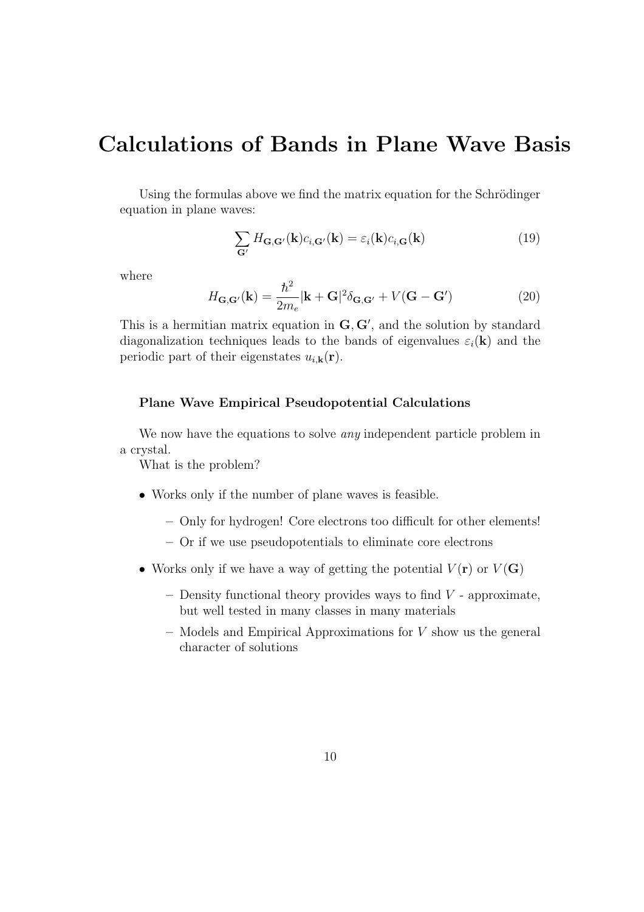### Calculations of Bands in Plane Wave Basis

Using the formulas above we find the matrix equation for the Schrödinger equation in plane waves:

$$
\sum_{\mathbf{G}'} H_{\mathbf{G},\mathbf{G}'}(\mathbf{k}) c_{i,\mathbf{G}'}(\mathbf{k}) = \varepsilon_i(\mathbf{k}) c_{i,\mathbf{G}}(\mathbf{k})
$$
\n(19)

where

$$
H_{\mathbf{G},\mathbf{G}'}(\mathbf{k}) = \frac{\hbar^2}{2m_e} |\mathbf{k} + \mathbf{G}|^2 \delta_{\mathbf{G},\mathbf{G}'} + V(\mathbf{G} - \mathbf{G}') \tag{20}
$$

This is a hermitian matrix equation in  $G, G'$ , and the solution by standard diagonalization techniques leads to the bands of eigenvalues  $\varepsilon_i(\mathbf{k})$  and the periodic part of their eigenstates  $u_{i,\mathbf{k}}(\mathbf{r})$ .

#### Plane Wave Empirical Pseudopotential Calculations

We now have the equations to solve *any* independent particle problem in a crystal.

What is the problem?

- Works only if the number of plane waves is feasible.
	- Only for hydrogen! Core electrons too difficult for other elements!
	- Or if we use pseudopotentials to eliminate core electrons
- Works only if we have a way of getting the potential  $V(\mathbf{r})$  or  $V(\mathbf{G})$ 
	- Density functional theory provides ways to find  $V$  approximate, but well tested in many classes in many materials
	- Models and Empirical Approximations for V show us the general character of solutions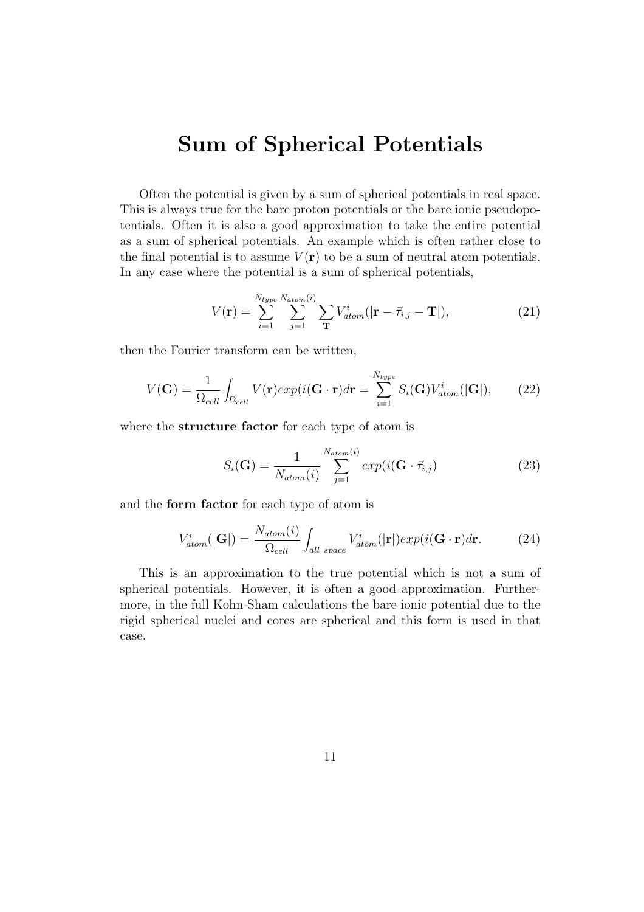## Sum of Spherical Potentials

Often the potential is given by a sum of spherical potentials in real space. This is always true for the bare proton potentials or the bare ionic pseudopotentials. Often it is also a good approximation to take the entire potential as a sum of spherical potentials. An example which is often rather close to the final potential is to assume  $V(\mathbf{r})$  to be a sum of neutral atom potentials. In any case where the potential is a sum of spherical potentials,

$$
V(\mathbf{r}) = \sum_{i=1}^{N_{type}} \sum_{j=1}^{N_{atom}(i)} \sum_{\mathbf{T}} V_{atom}^{i} (|\mathbf{r} - \vec{\tau}_{i,j} - \mathbf{T}|), \qquad (21)
$$

then the Fourier transform can be written,

$$
V(\mathbf{G}) = \frac{1}{\Omega_{cell}} \int_{\Omega_{cell}} V(\mathbf{r}) exp(i(\mathbf{G} \cdot \mathbf{r}) d\mathbf{r} = \sum_{i=1}^{N_{type}} S_i(\mathbf{G}) V_{atom}^i(|\mathbf{G}|), \qquad (22)
$$

where the **structure factor** for each type of atom is

$$
S_i(\mathbf{G}) = \frac{1}{N_{atom}(i)} \sum_{j=1}^{N_{atom}(i)} exp(i(\mathbf{G} \cdot \vec{\tau}_{i,j})
$$
(23)

and the form factor for each type of atom is

$$
V_{atom}^{i}(|\mathbf{G}|) = \frac{N_{atom}(i)}{\Omega_{cell}} \int_{all \ space} V_{atom}^{i}(|\mathbf{r}|) exp(i(\mathbf{G} \cdot \mathbf{r}) d\mathbf{r}.
$$
 (24)

This is an approximation to the true potential which is not a sum of spherical potentials. However, it is often a good approximation. Furthermore, in the full Kohn-Sham calculations the bare ionic potential due to the rigid spherical nuclei and cores are spherical and this form is used in that case.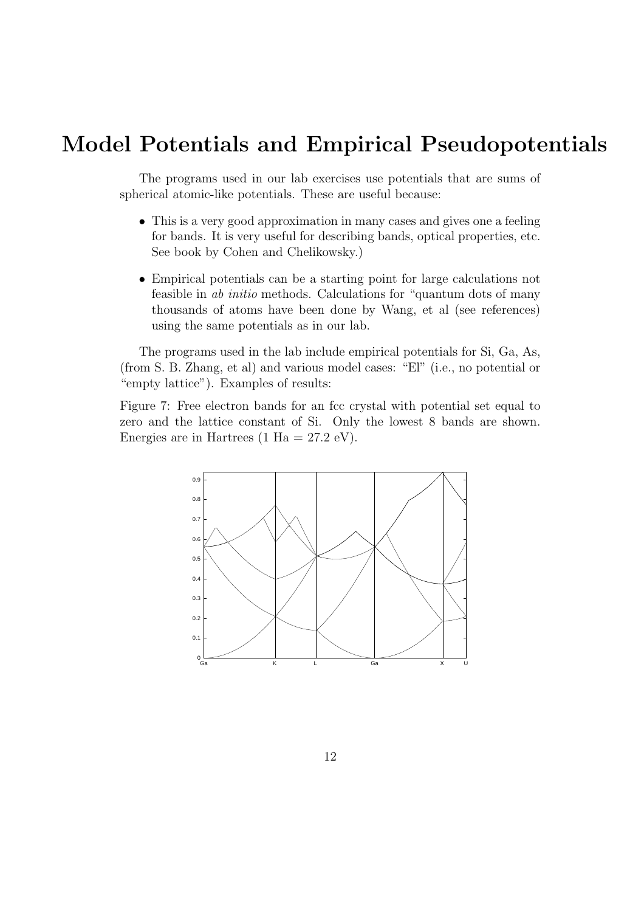### Model Potentials and Empirical Pseudopotentials

The programs used in our lab exercises use potentials that are sums of spherical atomic-like potentials. These are useful because:

- This is a very good approximation in many cases and gives one a feeling for bands. It is very useful for describing bands, optical properties, etc. See book by Cohen and Chelikowsky.)
- Empirical potentials can be a starting point for large calculations not feasible in ab initio methods. Calculations for "quantum dots of many thousands of atoms have been done by Wang, et al (see references) using the same potentials as in our lab.

The programs used in the lab include empirical potentials for Si, Ga, As, (from S. B. Zhang, et al) and various model cases: "El" (i.e., no potential or "empty lattice"). Examples of results:

Figure 7: Free electron bands for an fcc crystal with potential set equal to zero and the lattice constant of Si. Only the lowest 8 bands are shown. Energies are in Hartrees (1 Ha =  $27.2 \text{ eV}$ ).

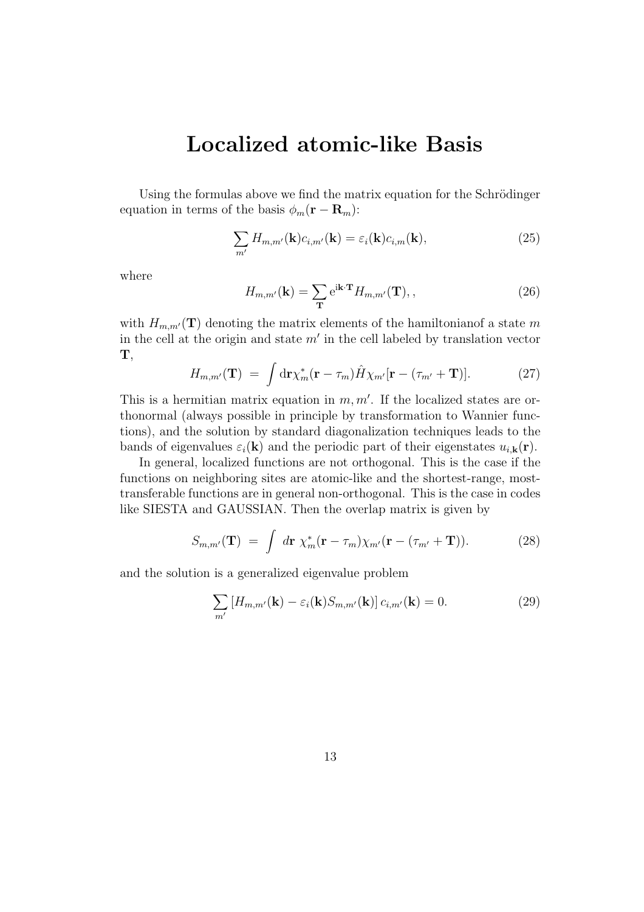### Localized atomic-like Basis

Using the formulas above we find the matrix equation for the Schrödinger equation in terms of the basis  $\phi_m(\mathbf{r} - \mathbf{R}_m)$ :

$$
\sum_{m'} H_{m,m'}(\mathbf{k}) c_{i,m'}(\mathbf{k}) = \varepsilon_i(\mathbf{k}) c_{i,m}(\mathbf{k}),
$$
\n(25)

where

$$
H_{m,m'}(\mathbf{k}) = \sum_{\mathbf{T}} e^{i\mathbf{k}\cdot\mathbf{T}} H_{m,m'}(\mathbf{T}),\qquad(26)
$$

with  $H_{m,m'}(\mathbf{T})$  denoting the matrix elements of the hamiltonianof a state m in the cell at the origin and state  $m'$  in the cell labeled by translation vector T,

$$
H_{m,m'}(\mathbf{T}) = \int d\mathbf{r} \chi_m^*(\mathbf{r} - \tau_m) \hat{H} \chi_{m'}[\mathbf{r} - (\tau_{m'} + \mathbf{T})]. \tag{27}
$$

This is a hermitian matrix equation in  $m, m'$ . If the localized states are orthonormal (always possible in principle by transformation to Wannier functions), and the solution by standard diagonalization techniques leads to the bands of eigenvalues  $\varepsilon_i(\mathbf{k})$  and the periodic part of their eigenstates  $u_{i,\mathbf{k}}(\mathbf{r})$ .

In general, localized functions are not orthogonal. This is the case if the functions on neighboring sites are atomic-like and the shortest-range, mosttransferable functions are in general non-orthogonal. This is the case in codes like SIESTA and GAUSSIAN. Then the overlap matrix is given by

$$
S_{m,m'}(\mathbf{T}) = \int d\mathbf{r} \ \chi_m^*(\mathbf{r} - \tau_m) \chi_{m'}(\mathbf{r} - (\tau_{m'} + \mathbf{T})). \tag{28}
$$

and the solution is a generalized eigenvalue problem

$$
\sum_{m'} \left[ H_{m,m'}(\mathbf{k}) - \varepsilon_i(\mathbf{k}) S_{m,m'}(\mathbf{k}) \right] c_{i,m'}(\mathbf{k}) = 0.
$$
 (29)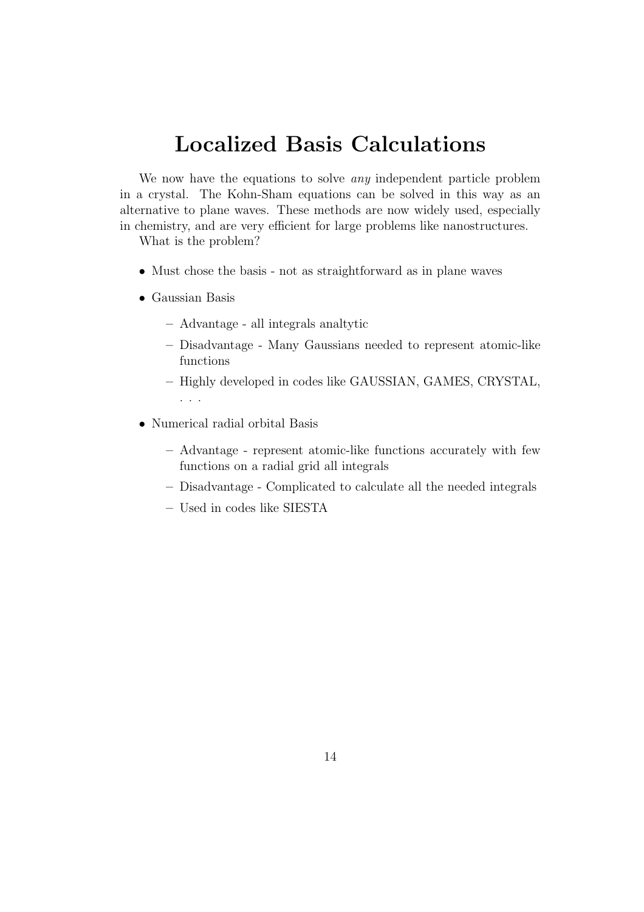## Localized Basis Calculations

We now have the equations to solve *any* independent particle problem in a crystal. The Kohn-Sham equations can be solved in this way as an alternative to plane waves. These methods are now widely used, especially in chemistry, and are very efficient for large problems like nanostructures.

What is the problem?

- Must chose the basis not as straightforward as in plane waves
- Gaussian Basis
	- Advantage all integrals analtytic
	- Disadvantage Many Gaussians needed to represent atomic-like functions
	- Highly developed in codes like GAUSSIAN, GAMES, CRYSTAL, . . .
- Numerical radial orbital Basis
	- Advantage represent atomic-like functions accurately with few functions on a radial grid all integrals
	- Disadvantage Complicated to calculate all the needed integrals
	- Used in codes like SIESTA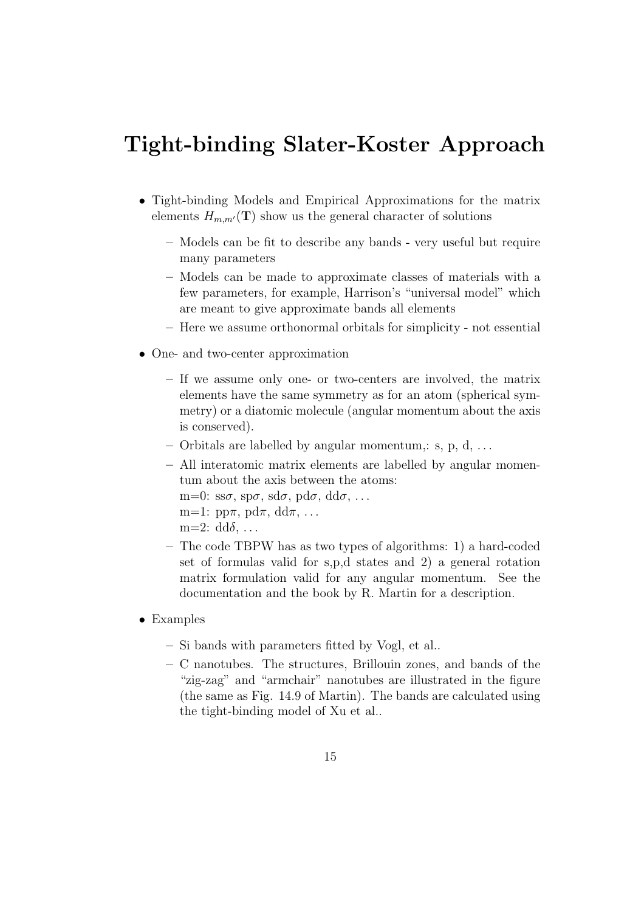## Tight-binding Slater-Koster Approach

- Tight-binding Models and Empirical Approximations for the matrix elements  $H_{m,m'}(\mathbf{T})$  show us the general character of solutions
	- Models can be fit to describe any bands very useful but require many parameters
	- Models can be made to approximate classes of materials with a few parameters, for example, Harrison's "universal model" which are meant to give approximate bands all elements
	- Here we assume orthonormal orbitals for simplicity not essential
- One- and two-center approximation
	- If we assume only one- or two-centers are involved, the matrix elements have the same symmetry as for an atom (spherical symmetry) or a diatomic molecule (angular momentum about the axis is conserved).
	- Orbitals are labelled by angular momentum,:  $s, p, d, \ldots$
	- All interatomic matrix elements are labelled by angular momentum about the axis between the atoms: m=0:  $\text{ss}\sigma$ ,  $\text{sp}\sigma$ ,  $\text{sd}\sigma$ ,  $\text{pd}\sigma$ ,  $\text{dd}\sigma$ , ... m=1:  $pp\pi$ ,  $pd\pi$ ,  $dd\pi$ , ... m=2:  $dd\delta$ , ...
	- The code TBPW has as two types of algorithms: 1) a hard-coded set of formulas valid for s,p,d states and 2) a general rotation matrix formulation valid for any angular momentum. See the documentation and the book by R. Martin for a description.
- Examples
	- Si bands with parameters fitted by Vogl, et al..
	- C nanotubes. The structures, Brillouin zones, and bands of the "zig-zag" and "armchair" nanotubes are illustrated in the figure (the same as Fig. 14.9 of Martin). The bands are calculated using the tight-binding model of Xu et al..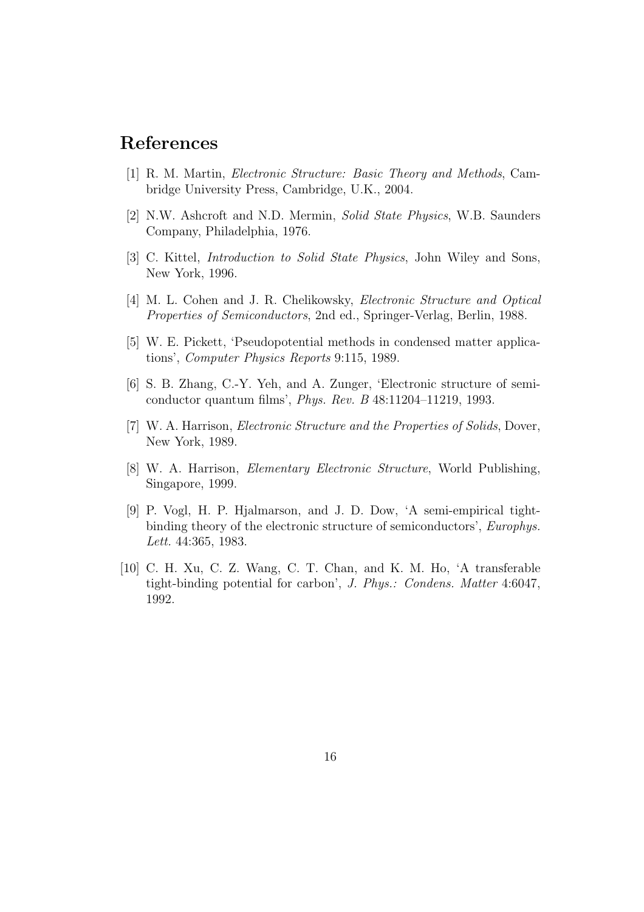#### References

- [1] R. M. Martin, Electronic Structure: Basic Theory and Methods, Cambridge University Press, Cambridge, U.K., 2004.
- [2] N.W. Ashcroft and N.D. Mermin, Solid State Physics, W.B. Saunders Company, Philadelphia, 1976.
- [3] C. Kittel, Introduction to Solid State Physics, John Wiley and Sons, New York, 1996.
- [4] M. L. Cohen and J. R. Chelikowsky, *Electronic Structure and Optical* Properties of Semiconductors, 2nd ed., Springer-Verlag, Berlin, 1988.
- [5] W. E. Pickett, 'Pseudopotential methods in condensed matter applications', Computer Physics Reports 9:115, 1989.
- [6] S. B. Zhang, C.-Y. Yeh, and A. Zunger, 'Electronic structure of semiconductor quantum films', Phys. Rev. B 48:11204–11219, 1993.
- [7] W. A. Harrison, *Electronic Structure and the Properties of Solids*, Dover, New York, 1989.
- [8] W. A. Harrison, Elementary Electronic Structure, World Publishing, Singapore, 1999.
- [9] P. Vogl, H. P. Hjalmarson, and J. D. Dow, 'A semi-empirical tightbinding theory of the electronic structure of semiconductors', Europhys. Lett. 44:365, 1983.
- [10] C. H. Xu, C. Z. Wang, C. T. Chan, and K. M. Ho, 'A transferable tight-binding potential for carbon', J. Phys.: Condens. Matter 4:6047, 1992.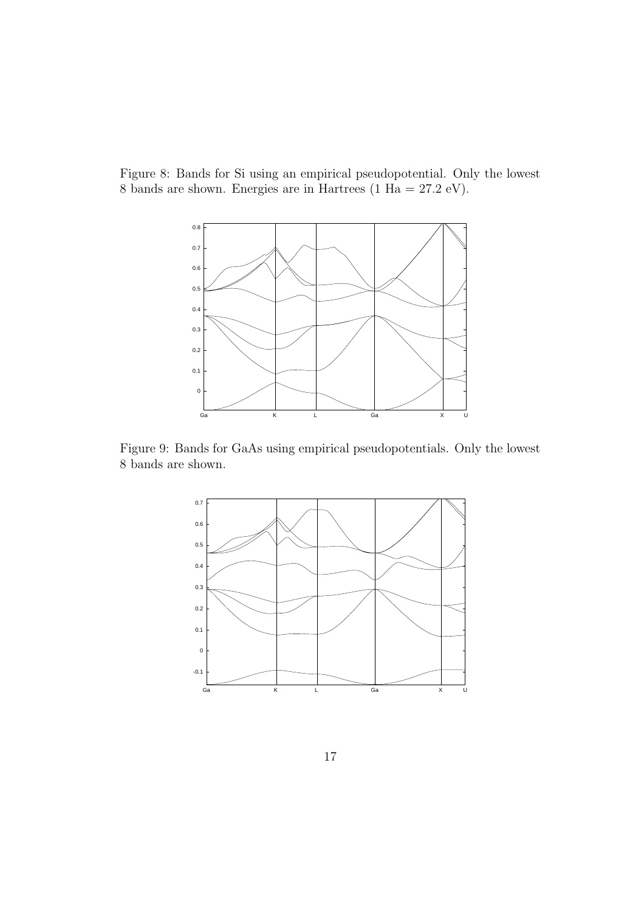Figure 8: Bands for Si using an empirical pseudopotential. Only the lowest 8 bands are shown. Energies are in Hartrees (1 Ha = 27.2 eV).



Figure 9: Bands for GaAs using empirical pseudopotentials. Only the lowest 8 bands are shown.